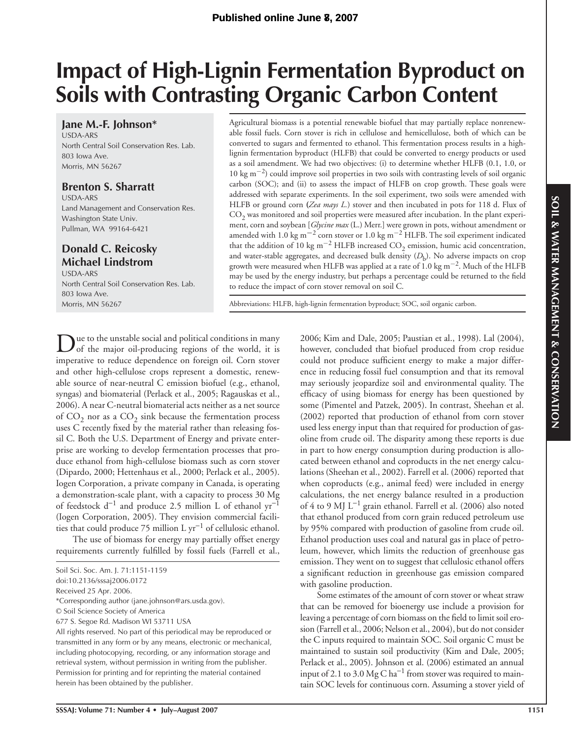# **Impact of High-Lignin Fermentation Byproduct on Soils with Contrasting Organic Carbon Content**

**Jane M.-F. Johnson\*** USDA-ARS North Central Soil Conservation Res. Lab. 803 Iowa Ave. Morris, MN 56267

# **Brenton S. Sharratt**

USDA-ARS Land Management and Conservation Res. Washington State Univ. Pullman, WA 99164-6421

# **Donald C. Reicosky Michael Lindstrom**

USDA-ARS North Central Soil Conservation Res. Lab. 803 Iowa Ave. Morris, MN 56267

Agricultural biomass is a potential renewable biofuel that may partially replace nonrenewable fossil fuels. Corn stover is rich in cellulose and hemicellulose, both of which can be converted to sugars and fermented to ethanol. This fermentation process results in a highlignin fermentation byproduct (HLFB) that could be converted to energy products or used as a soil amendment. We had two objectives: (i) to determine whether HLFB (0.1, 1.0, or 10 kg m<sup>−</sup>2) could improve soil properties in two soils with contrasting levels of soil organic carbon (SOC); and (ii) to assess the impact of HLFB on crop growth. These goals were addressed with separate experiments. In the soil experiment, two soils were amended with HLFB or ground corn **(***Zea mays L.*) stover and then incubated in pots for 118 d. Flux of  $CO<sub>2</sub>$  was monitored and soil properties were measured after incubation. In the plant experiment, corn and soybean [*Glycine max* (L.) Merr.] were grown in pots, without amendment or amended with 1.0 kg m**<sup>−</sup>**2 corn stover or 1.0 kg m<sup>−</sup>2 HLFB. The soil experiment indicated that the addition of 10 kg m<sup>-2</sup> HLFB increased  $CO_2$  emission, humic acid concentration, and water-stable aggregates, and decreased bulk density  $(D_h)$ . No adverse impacts on crop growth were measured when HLFB was applied at a rate of 1.0 kg m<sup>−</sup>2. Much of the HLFB may be used by the energy industry, but perhaps a percentage could be returned to the field to reduce the impact of corn stover removal on soil C.

Abbreviations: HLFB, high-lignin fermentation byproduct; SOC, soil organic carbon.

Due to the unstable social and political conditions in many of the major oil-producing regions of the world, it is imperative to reduce dependence on foreign oil. Corn stover and other high-cellulose crops represent a domestic, renewable source of near-neutral C emission biofuel (e.g., ethanol, syngas) and biomaterial (Perlack et al., 2005; Ragauskas et al., 2006). A near C-neutral biomaterial acts neither as a net source of  $CO<sub>2</sub>$  nor as a  $CO<sub>2</sub>$  sink because the fermentation process uses C recently fixed by the material rather than releasing fossil C. Both the U.S. Department of Energy and private enterprise are working to develop fermentation processes that produce ethanol from high-cellulose biomass such as corn stover (Dipardo, 2000; Hettenhaus et al., 2000; Perlack et al., 2005). Iogen Corporation, a private company in Canada, is operating a demonstration-scale plant, with a capacity to process 30 Mg of feedstock d<sup>−</sup>1 and produce 2.5 million L of ethanol yr<sup>−</sup><sup>1</sup> (Iogen Corporation, 2005). They envision commercial facilities that could produce 75 million L yr<sup>−</sup>1 of cellulosic ethanol.

The use of biomass for energy may partially offset energy requirements currently fulfilled by fossil fuels (Farrell et al.,

doi:10.2136/sssaj2006.0172

\*Corresponding author (jane.johnson@ars.usda.gov).

2006; Kim and Dale, 2005; Paustian et al., 1998). Lal (2004), however, concluded that biofuel produced from crop residue could not produce sufficient energy to make a major difference in reducing fossil fuel consumption and that its removal may seriously jeopardize soil and environmental quality. The efficacy of using biomass for energy has been questioned by some (Pimentel and Patzek, 2005). In contrast, Sheehan et al. (2002) reported that production of ethanol from corn stover used less energy input than that required for production of gasoline from crude oil. The disparity among these reports is due in part to how energy consumption during production is allocated between ethanol and coproducts in the net energy calculations (Sheehan et al., 2002). Farrell et al. (2006) reported that when coproducts (e.g., animal feed) were included in energy calculations, the net energy balance resulted in a production of 4 to 9 MJ L<sup>−</sup>1 grain ethanol. Farrell et al. (2006) also noted that ethanol produced from corn grain reduced petroleum use by 95% compared with production of gasoline from crude oil. Ethanol production uses coal and natural gas in place of petroleum, however, which limits the reduction of greenhouse gas emission. They went on to suggest that cellulosic ethanol offers a significant reduction in greenhouse gas emission compared with gasoline production.

Some estimates of the amount of corn stover or wheat straw that can be removed for bioenergy use include a provision for leaving a percentage of corn biomass on the field to limit soil erosion (Farrell et al., 2006; Nelson et al., 2004), but do not consider the C inputs required to maintain SOC. Soil organic C must be maintained to sustain soil productivity (Kim and Dale, 2005; Perlack et al., 2005). Johnson et al. (2006) estimated an annual input of 2.1 to 3.0 Mg C ha<sup>-1</sup> from stover was required to maintain SOC levels for continuous corn. Assuming a stover yield of

Soil Sci. Soc. Am. J. 71:1151-1159

Received 25 Apr. 2006.

<sup>©</sup> Soil Science Society of America

<sup>677</sup> S. Segoe Rd. Madison WI 53711 USA

All rights reserved. No part of this periodical may be reproduced or transmitted in any form or by any means, electronic or mechanical, including photocopying, recording, or any information storage and retrieval system, without permission in writing from the publisher. Permission for printing and for reprinting the material contained herein has been obtained by the publisher.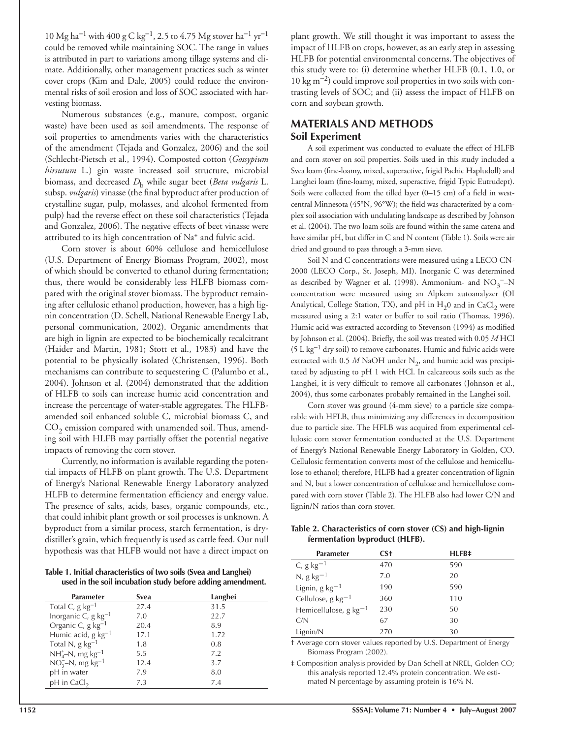$10 \text{ Mg ha}^{-1}$  with  $400 \text{ g C kg}^{-1}$ , 2.5 to 4.75 Mg stover ha<sup>-1</sup> yr<sup>-1</sup> could be removed while maintaining SOC. The range in values is attributed in part to variations among tillage systems and climate. Additionally, other management practices such as winter cover crops (Kim and Dale, 2005) could reduce the environmental risks of soil erosion and loss of SOC associated with harvesting biomass.

Numerous substances (e.g., manure, compost, organic waste) have been used as soil amendments. The response of soil properties to amendments varies with the characteristics of the amendment (Tejada and Gonzalez, 2006) and the soil (Schlecht-Pietsch et al., 1994). Composted cotton (*Gossypium hirsutum* L.) gin waste increased soil structure, microbial biomass, and decreased *D*b while sugar beet (*Beta vulgaris* L. subsp. *vulgaris*) vinasse (the final byproduct after production of crystalline sugar, pulp, molasses, and alcohol fermented from pulp) had the reverse effect on these soil characteristics (Tejada and Gonzalez, 2006). The negative effects of beet vinasse were attributed to its high concentration of Na+ and fulvic acid.

Corn stover is about 60% cellulose and hemicellulose (U.S. Department of Energy Biomass Program, 2002), most of which should be converted to ethanol during fermentation; thus, there would be considerably less HLFB biomass compared with the original stover biomass. The byproduct remaining after cellulosic ethanol production, however, has a high lignin concentration (D. Schell, National Renewable Energy Lab, personal communication, 2002). Organic amendments that are high in lignin are expected to be biochemically recalcitrant (Haider and Martin, 1981; Stott et al., 1983) and have the potential to be physically isolated (Christensen, 1996). Both mechanisms can contribute to sequestering C (Palumbo et al., 2004). Johnson et al. (2004) demonstrated that the addition of HLFB to soils can increase humic acid concentration and increase the percentage of water-stable aggregates. The HLFBamended soil enhanced soluble C, microbial biomass C, and  $CO<sub>2</sub>$  emission compared with unamended soil. Thus, amending soil with HLFB may partially offset the potential negative impacts of removing the corn stover.

Currently, no information is available regarding the potential impacts of HLFB on plant growth. The U.S. Department of Energy's National Renewable Energy Laboratory analyzed HLFB to determine fermentation efficiency and energy value. The presence of salts, acids, bases, organic compounds, etc., that could inhibit plant growth or soil processes is unknown. A byproduct from a similar process, starch fermentation, is drydistiller's grain, which frequently is used as cattle feed. Our null hypothesis was that HLFB would not have a direct impact on

**Table 1. Initial characteristics of two soils (Svea and Langhei) used in the soil incubation study before adding amendment.**

| Parameter                            | Svea | Langhei |
|--------------------------------------|------|---------|
| Total C, $g \text{ kg}^{-1}$         | 27.4 | 31.5    |
| Inorganic C, $g kg^{-1}$             | 7.0  | 22.7    |
| Organic C, g kg <sup>-1</sup>        | 20.4 | 8.9     |
| Humic acid, $g \text{ kg}^{-1}$      | 17.1 | 1.72    |
| Total N, $g kg^{-1}$                 | 1.8  | 0.8     |
| $NH_{4}^{+}$ -N, mg kg <sup>-1</sup> | 5.5  | 7.2     |
| $NO3-N$ , mg kg <sup>-1</sup>        | 12.4 | 3.7     |
| pH in water                          | 7.9  | 8.0     |
| $pH$ in CaCl <sub>2</sub>            | 7.3  | 7.4     |

plant growth. We still thought it was important to assess the impact of HLFB on crops, however, as an early step in assessing HLFB for potential environmental concerns. The objectives of this study were to: (i) determine whether HLFB (0.1, 1.0, or 10 kg m<sup>−</sup>2) could improve soil properties in two soils with contrasting levels of SOC; and (ii) assess the impact of HLFB on corn and soybean growth.

# **MATERIALS AND METHODS Soil Experiment**

A soil experiment was conducted to evaluate the effect of HLFB and corn stover on soil properties. Soils used in this study included a Svea loam (fine-loamy, mixed, superactive, frigid Pachic Hapludoll) and Langhei loam (fine-loamy, mixed, superactive, frigid Typic Eutrudept). Soils were collected from the tilled layer  $(0-15 \text{ cm})$  of a field in westcentral Minnesota (45°N, 96°W); the field was characterized by a complex soil association with undulating landscape as described by Johnson et al. (2004). The two loam soils are found within the same catena and have similar pH, but differ in C and N content (Table 1). Soils were air dried and ground to pass through a 3-mm sieve.

Soil N and C concentrations were measured using a LECO CN-2000 (LECO Corp., St. Joseph, MI). Inorganic C was determined as described by Wagner et al. (1998). Ammonium- and  $NO_3$ <sup>-</sup>-N concentration were measured using an Alpkem autoanalyzer (OI Analytical, College Station, TX), and pH in  $H_2$ 0 and in CaCl<sub>2</sub> were measured using a 2:1 water or buffer to soil ratio (Thomas, 1996). Humic acid was extracted according to Stevenson (1994) as modified by Johnson et al. (2004). Briefly, the soil was treated with 0.05 M HCl (5 L kg<sup>−</sup>1 dry soil) to remove carbonates. Humic and fulvic acids were extracted with 0.5  $M$  NaOH under N<sub>2</sub>, and humic acid was precipitated by adjusting to pH 1 with HCl. In calcareous soils such as the Langhei, it is very difficult to remove all carbonates (Johnson et al., 2004), thus some carbonates probably remained in the Langhei soil.

Corn stover was ground (4-mm sieve) to a particle size comparable with HFLB, thus minimizing any differences in decomposition due to particle size. The HFLB was acquired from experimental cellulosic corn stover fermentation conducted at the U.S. Department of Energy's National Renewable Energy Laboratory in Golden, CO. Cellulosic fermentation converts most of the cellulose and hemicellulose to ethanol; therefore, HLFB had a greater concentration of lignin and N, but a lower concentration of cellulose and hemicellulose compared with corn stover (Table 2). The HLFB also had lower C/N and lignin/N ratios than corn stover.

## **Table 2. Characteristics of corn stover (CS) and high-lignin fermentation byproduct (HLFB).**

| <b>Parameter</b>                   | CS <sup>+</sup> | HLFB‡ |
|------------------------------------|-----------------|-------|
| C, $g kg^{-1}$                     | 470             | 590   |
| $N$ , g kg $^{-1}$                 | 7.0             | 20    |
| Lignin, g $kg-1$                   | 190             | 590   |
| Cellulose, g $kg^{-1}$             | 360             | 110   |
| Hemicellulose, $g \text{ kg}^{-1}$ | 230             | 50    |
| C/N                                | 67              | 30    |
| Lignin/N                           | 270             | 30    |

† Average corn stover values reported by U.S. Department of Energy Biomass Program (2002).

‡ Composition analysis provided by Dan Schell at NREL, Golden CO; this analysis reported 12.4% protein concentration. We estimated N percentage by assuming protein is 16% N.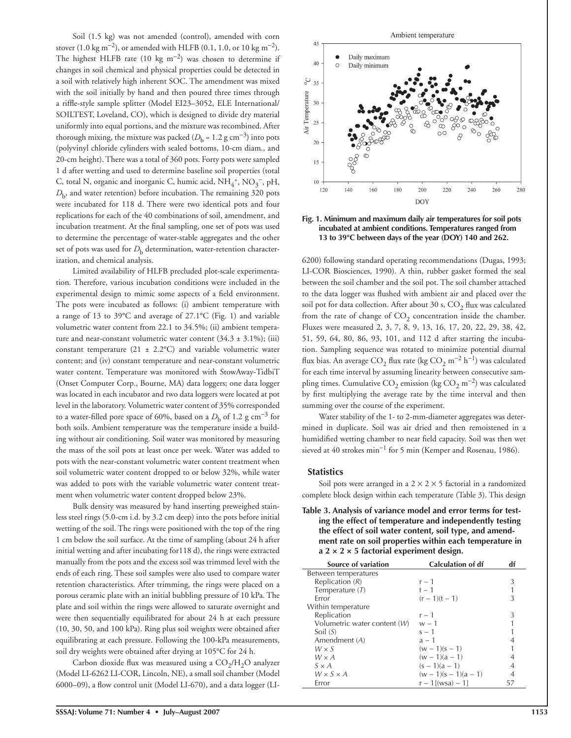Soil (1.5 kg) was not amended (control), amended with corn stover (1.0 kg m<sup>-2</sup>), or amended with HLFB (0.1, 1.0, or 10 kg m<sup>-2</sup>). The highest HLFB rate (10 kg m<sup>-2</sup>) was chosen to determine if changes in soil chemical and physical properties could be detected in a soil with relatively high inherent SOC. The amendment was mixed with the soil initially by hand and then poured three times through a riffle-style sample splitter (Model EI23-3052, ELE International/ SOILTEST, Loveland, CO), which is designed to divide dry material uniformly into equal portions, and the mixture was recombined. After thorough mixing, the mixture was packed ( $D<sub>b</sub> = 1.2$  g cm<sup>-3</sup>) into pots (polyvinyl chloride cylinders with sealed bottoms, 10-cm diam., and 20-cm height). There was a total of 360 pots. Forty pots were sampled 1 d after wetting and used to determine baseline soil properties (total C, total N, organic and inorganic C, humic acid,  $\mathrm{NH}_4^+,\mathrm{NO}_3^-,$  pH,  $D<sub>b</sub>$ , and water retention) before incubation. The remaining 320 pots were incubated for 118 d. There were two identical pots and four replications for each of the 40 combinations of soil, amendment, and incubation treatment. At the final sampling, one set of pots was used to determine the percentage of water-stable aggregates and the other set of pots was used for  $D<sub>b</sub>$  determination, water-retention characterization, and chemical analysis.

Limited availability of HLFB precluded plot-scale experimentation. Therefore, various incubation conditions were included in the experimental design to mimic some aspects of a field environment. The pots were incubated as follows: (i) ambient temperature with a range of 13 to 39°C and average of 27.1°C (Fig. 1) and variable volumetric water content from 22.1 to 34.5%; (ii) ambient temperature and near-constant volumetric water content  $(34.3 \pm 3.1\%)$ ; (iii) constant temperature (21  $\pm$  2.2°C) and variable volumetric water content; and (iv) constant temperature and near-constant volumetric water content. Temperature was monitored with StowAway-TidbiT (Onset Computer Corp., Bourne, MA) data loggers; one data logger was located in each incubator and two data loggers were located at pot level in the laboratory. Volumetric water content of 35% corresponded to a water-filled pore space of 60%, based on a  $D<sub>b</sub>$  of 1.2 g cm<sup>-3</sup> for both soils. Ambient temperature was the temperature inside a building without air conditioning. Soil water was monitored by measuring the mass of the soil pots at least once per week. Water was added to pots with the near-constant volumetric water content treatment when soil volumetric water content dropped to or below 32%, while water was added to pots with the variable volumetric water content treatment when volumetric water content dropped below 23%.

Bulk density was measured by hand inserting preweighed stainless steel rings (5.0-cm i.d. by 3.2 cm deep) into the pots before initial wetting of the soil. The rings were positioned with the top of the ring 1 cm below the soil surface. At the time of sampling (about 24 h after initial wetting and after incubating for118 d), the rings were extracted manually from the pots and the excess soil was trimmed level with the ends of each ring. These soil samples were also used to compare water retention characteristics. After trimming, the rings were placed on a porous ceramic plate with an initial bubbling pressure of 10 kPa. The plate and soil within the rings were allowed to saturate overnight and were then sequentially equilibrated for about 24 h at each pressure (10, 30, 50, and 100 kPa). Ring plus soil weights were obtained after equilibrating at each pressure. Following the 100-kPa measurements, soil dry weights were obtained after drying at 105°C for 24 h.

Carbon dioxide flux was measured using a  $CO<sub>2</sub>/H<sub>2</sub>O$  analyzer (Model LI-6262 LI-COR, Lincoln, NE), a small soil chamber (Model 6000–09), a flow control unit (Model LI-670), and a data logger (LI-



**Fig. 1. Minimum and maximum daily air temperatures for soil pots incubated at ambient conditions. Temperatures ranged from 13 to 39°C between days of the year (DOY) 140 and 262.**

6200) following standard operating recommendations (Dugas, 1993; LI-COR Biosciences, 1990). A thin, rubber gasket formed the seal between the soil chamber and the soil pot. The soil chamber attached to the data logger was flushed with ambient air and placed over the soil pot for data collection. After about 30 s,  $CO<sub>2</sub>$  flux was calculated from the rate of change of  $CO<sub>2</sub>$  concentration inside the chamber. Fluxes were measured 2, 3, 7, 8, 9, 13, 16, 17, 20, 22, 29, 38, 42, 51, 59, 64, 80, 86, 93, 101, and 112 d after starting the incubation. Sampling sequence was rotated to minimize potential diurnal flux bias. An average CO<sub>2</sub> flux rate (kg CO<sub>2</sub> m<sup>-2</sup> h<sup>-1</sup>) was calculated for each time interval by assuming linearity between consecutive sampling times. Cumulative CO<sub>2</sub> emission (kg CO<sub>2</sub> m<sup>-2</sup>) was calculated by first multiplying the average rate by the time interval and then summing over the course of the experiment.

Water stability of the 1- to 2-mm-diameter aggregates was determined in duplicate. Soil was air dried and then remoistened in a humidified wetting chamber to near field capacity. Soil was then wet sieved at 40 strokes min<sup>−</sup>1 for 5 min (Kemper and Rosenau, 1986).

#### **Statistics**

Soil pots were arranged in a  $2 \times 2 \times 5$  factorial in a randomized complete block design within each temperature (Table 3). This design

**Table 3. Analysis of variance model and error terms for testing the effect of temperature and independently testing the effect of soil water content, soil type, and amendment rate on soil properties within each temperature in a 2 × 2 × 5 factorial experiment design.**

| <b>Source of variation</b>   | <b>Calculation of df</b> | df |
|------------------------------|--------------------------|----|
| Between temperatures         |                          |    |
| Replication $(R)$            | $r - 1$                  | 3  |
| Temperature $(T)$            | $t - 1$                  |    |
| Error                        | $(r - 1)(t - 1)$         | 3  |
| Within temperature           |                          |    |
| Replication                  | $r-1$                    | 3  |
| Volumetric water content (W) | $w - 1$                  |    |
| Soil $(S)$                   | $s - 1$                  |    |
| Amendment $(A)$              | $a - 1$                  |    |
| $W \times S$                 | $(w - 1)(s - 1)$         |    |
| $W \times A$                 | $(w - 1)(a - 1)$         |    |
| $S \times A$                 | $(s - 1)(a - 1)$         |    |
| $W \times S \times A$        | $(w - 1)(s - 1)(a - 1)$  | 4  |
| Error                        | $r - 1$ [(wsa) - 1]      | 57 |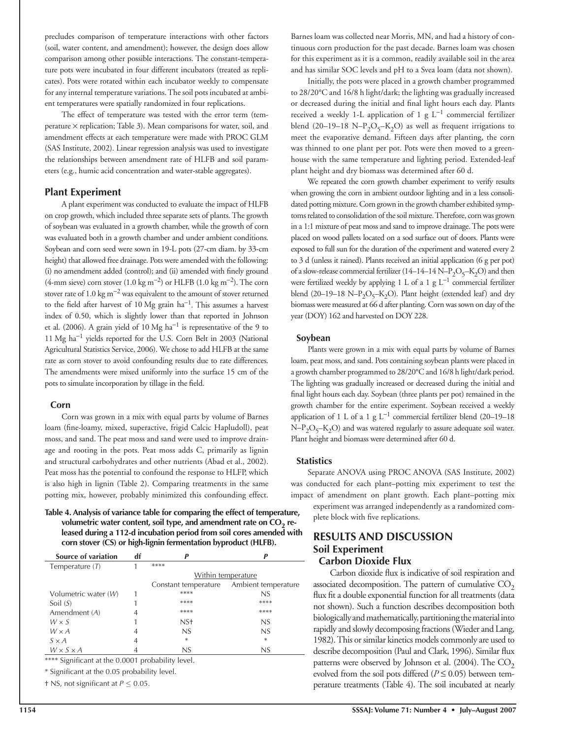precludes comparison of temperature interactions with other factors (soil, water content, and amendment); however, the design does allow comparison among other possible interactions. The constant-temperature pots were incubated in four different incubators (treated as replicates). Pots were rotated within each incubator weekly to compensate for any internal temperature variations. The soil pots incubated at ambient temperatures were spatially randomized in four replications.

The effect of temperature was tested with the error term (temperature  $\times$  replication; Table 3). Mean comparisons for water, soil, and amendment effects at each temperature were made with PROC GLM (SAS Institute, 2002). Linear regression analysis was used to investigate the relationships between amendment rate of HLFB and soil parameters (e.g., humic acid concentration and water-stable aggregates).

# **Plant Experiment**

A plant experiment was conducted to evaluate the impact of HLFB on crop growth, which included three separate sets of plants. The growth of soybean was evaluated in a growth chamber, while the growth of corn was evaluated both in a growth chamber and under ambient conditions. Soybean and corn seed were sown in 19-L pots (27-cm diam. by 33-cm height) that allowed free drainage. Pots were amended with the following: (i) no amendment added (control); and (ii) amended with finely ground (4-mm sieve) corn stover (1.0 kg m<sup>-2</sup>) or HLFB (1.0 kg m<sup>-2</sup>). The corn stover rate of 1.0 kg m<sup>−</sup>2 was equivalent to the amount of stover returned to the field after harvest of 10 Mg grain  $ha^{-1}$ . This assumes a harvest index of 0.50, which is slightly lower than that reported in Johnson et al. (2006). A grain yield of 10 Mg ha<sup>−</sup>1 is representative of the 9 to 11 Mg ha<sup>−</sup>1 yields reported for the U.S. Corn Belt in 2003 (National Agricultural Statistics Service, 2006). We chose to add HLFB at the same rate as corn stover to avoid confounding results due to rate differences. The amendments were mixed uniformly into the surface 15 cm of the pots to simulate incorporation by tillage in the field.

## **Corn**

Corn was grown in a mix with equal parts by volume of Barnes loam (fine-loamy, mixed, superactive, frigid Calcic Hapludoll), peat moss, and sand. The peat moss and sand were used to improve drainage and rooting in the pots. Peat moss adds C, primarily as lignin and structural carbohydrates and other nutrients (Abad et al., 2002). Peat moss has the potential to confound the response to HLFP, which is also high in lignin (Table 2). Comparing treatments in the same potting mix, however, probably minimized this confounding effect.

**Table 4. Analysis of variance table for comparing the effect of temperature,**  volumetric water content, soil type, and amendment rate on CO<sub>2</sub> re**leased during a 112-d incubation period from soil cores amended with corn stover (CS) or high-lignin fermentation byproduct (HLFB).**

| Source of variation   |   |                      |                     |
|-----------------------|---|----------------------|---------------------|
| Temperature $(T)$     |   | ****                 |                     |
|                       |   |                      | Within temperature  |
|                       |   | Constant temperature | Ambient temperature |
| Volumetric water (W)  |   | ****                 | NS                  |
| Soil $(S)$            |   | ****                 | ****                |
| Amendment (A)         | 4 | ****                 | ****                |
| $W \times S$          |   | NS <sup>+</sup>      | NS                  |
| $W \times A$          | 4 | NS                   | NS                  |
| $S \times A$          | 4 | $\ast$               | $\ast$              |
| $W \times S \times A$ |   | NS                   | NS                  |
|                       |   |                      |                     |

\*\*\*\* Significant at the 0.0001 probability level.

\* Significant at the 0.05 probability level.

 $\dagger$  NS, not significant at  $P \leq 0.05$ .

Barnes loam was collected near Morris, MN, and had a history of continuous corn production for the past decade. Barnes loam was chosen for this experiment as it is a common, readily available soil in the area and has similar SOC levels and pH to a Svea loam (data not shown).

Initially, the pots were placed in a growth chamber programmed to 28/20°C and 16/8 h light/dark; the lighting was gradually increased or decreased during the initial and final light hours each day. Plants received a weekly 1-L application of 1 g  $L^{-1}$  commercial fertilizer blend (20–19–18 N– $P_2O_5$ – $K_2O$ ) as well as frequent irrigations to meet the evaporative demand. Fifteen days after planting, the corn was thinned to one plant per pot. Pots were then moved to a greenhouse with the same temperature and lighting period. Extended-leaf plant height and dry biomass was determined after 60 d.

We repeated the corn growth chamber experiment to verify results when growing the corn in ambient outdoor lighting and in a less consolidated potting mixture. Corn grown in the growth chamber exhibited symptoms related to consolidation of the soil mixture. Therefore, corn was grown in a 1:1 mixture of peat moss and sand to improve drainage. The pots were placed on wood pallets located on a sod surface out of doors. Plants were exposed to full sun for the duration of the experiment and watered every 2 to 3 d (unless it rained). Plants received an initial application (6 g per pot) of a slow-release commercial fertilizer  $(14-14-14 \text{ N}-P_2O_5-\text{K}_2\text{O})$  and then were fertilized weekly by applying 1 L of a 1 g  $L^{-1}$  commercial fertilizer blend (20–19–18 N– $P_2O_5$ – $K_2O$ ). Plant height (extended leaf) and dry biomass were measured at 66 d after planting. Corn was sown on day of the year (DOY) 162 and harvested on DOY 228.

#### **Soybean**

Plants were grown in a mix with equal parts by volume of Barnes loam, peat moss, and sand. Pots containing soybean plants were placed in a growth chamber programmed to 28/20°C and 16/8 h light/dark period. The lighting was gradually increased or decreased during the initial and final light hours each day. Soybean (three plants per pot) remained in the growth chamber for the entire experiment. Soybean received a weekly application of 1 L of a 1 g  $L^{-1}$  commercial fertilizer blend (20–19–18  $N-P_2O_5-K_2O$ ) and was watered regularly to assure adequate soil water. Plant height and biomass were determined after 60 d.

## **Statistics**

Separate ANOVA using PROC ANOVA (SAS Institute, 2002) was conducted for each plant–potting mix experiment to test the impact of amendment on plant growth. Each plant–potting mix experiment was arranged independently as a randomized complete block with five replications.

# **RESULTS AND DISCUSSION Soil Experiment Carbon Dioxide Flux**

Carbon dioxide flux is indicative of soil respiration and associated decomposition. The pattern of cumulative  $CO<sub>2</sub>$ flux fit a double exponential function for all treatments (data not shown). Such a function describes decomposition both biologically and mathematically, partitioning the material into rapidly and slowly decomposing fractions (Wieder and Lang, 1982). This or similar kinetics models commonly are used to describe decomposition (Paul and Clark, 1996). Similar flux patterns were observed by Johnson et al. (2004). The  $CO<sub>2</sub>$ evolved from the soil pots differed ( $P \leq 0.05$ ) between temperature treatments (Table 4). The soil incubated at nearly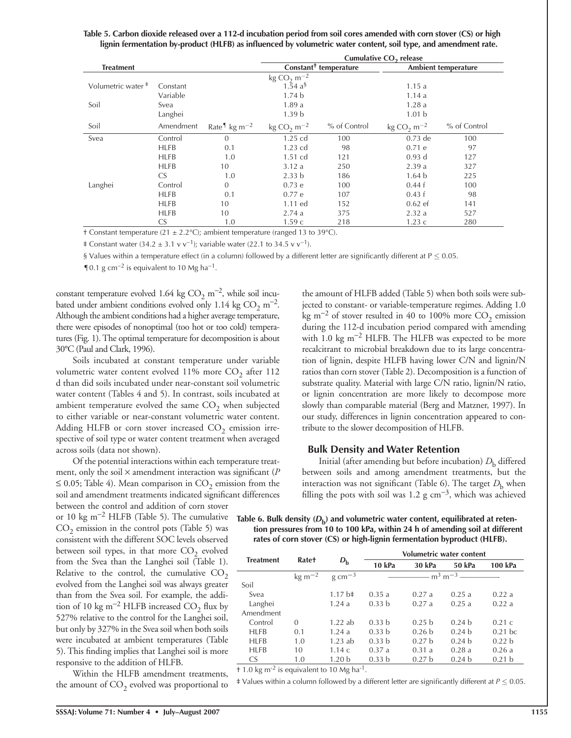| Table 5. Carbon dioxide released over a 112-d incubation period from soil cores amended with corn stover (CS) or high |
|-----------------------------------------------------------------------------------------------------------------------|
| lignin fermentation by-product (HLFB) as influenced by volumetric water content, soil type, and amendment rate.       |

|                               |                |                                                   | Cumulative CO <sub>2</sub> release        |                                   |                                                 |                     |  |  |
|-------------------------------|----------------|---------------------------------------------------|-------------------------------------------|-----------------------------------|-------------------------------------------------|---------------------|--|--|
| <b>Treatment</b>              |                |                                                   |                                           | Constant <sup>+</sup> temperature |                                                 | Ambient temperature |  |  |
|                               |                |                                                   | $\text{kg CO}_2 \text{ m}^{-2}$           |                                   |                                                 |                     |  |  |
| Volumetric water <sup>#</sup> | Constant       |                                                   | $1.\overline{5}4 \text{ a}^{\frac{5}{3}}$ |                                   | 1.15a                                           |                     |  |  |
|                               | Variable       |                                                   | 1.74 <sub>b</sub>                         |                                   | 1.14a                                           |                     |  |  |
| Soil                          | Svea           |                                                   | 1.89a                                     |                                   | 1.28a                                           |                     |  |  |
|                               | Langhei        |                                                   | 1.39 <sub>b</sub>                         |                                   | 1.01 <sub>b</sub>                               |                     |  |  |
| Soil                          | Amendment      | Rate <sup>1</sup> kg m <sup><math>-2</math></sup> | $\text{kg CO}_2 \text{ m}^{-2}$           | % of Control                      | kg CO <sub>2</sub> m <sup><math>-2</math></sup> | % of Control        |  |  |
| Svea                          | Control        | $\Omega$                                          | 1.25 cd                                   | 100                               | $0.73$ de                                       | 100                 |  |  |
|                               | <b>HLFB</b>    | 0.1                                               | 1.23 cd                                   | 98                                | 0.71 e                                          | 97                  |  |  |
|                               | <b>HLFB</b>    | 1.0                                               | $1.51$ cd                                 | 121                               | $0.93$ d                                        | 127                 |  |  |
|                               | <b>HLFB</b>    | 10                                                | 3.12a                                     | 250                               | 2.39a                                           | 327                 |  |  |
|                               | CS <sub></sub> | 1.0                                               | 2.33 <sub>b</sub>                         | 186                               | 1.64 <sub>b</sub>                               | 225                 |  |  |
| Langhei                       | Control        | $\Omega$                                          | 0.73 e                                    | 100                               | 0.44 f                                          | 100                 |  |  |
|                               | <b>HLFB</b>    | 0.1                                               | 0.77e                                     | 107                               | 0.43 f                                          | 98                  |  |  |
|                               | <b>HLFB</b>    | 10                                                | 1.11 ed                                   | 152                               | $0.62$ ef                                       | 141                 |  |  |
|                               | <b>HLFB</b>    | 10                                                | 2.74a                                     | 375                               | 2.32a                                           | 527                 |  |  |
|                               | CS.            | 1.0                                               | 1.59c                                     | 218                               | 1.23c                                           | 280                 |  |  |

† Constant temperature (21 ± 2.2°C); ambient temperature (ranged 13 to 39°C).

‡ Constant water (34.2 ± 3.1 v v<sup>-1</sup>); variable water (22.1 to 34.5 v v<sup>-1</sup>).

§ Values within a temperature effect (in a column) followed by a different letter are significantly different at  $P \le 0.05$ .

¶0.1 g cm<sup>-2</sup> is equivalent to 10 Mg ha<sup>-1</sup>.

constant temperature evolved 1.64 kg  $CO<sub>2</sub>$  m<sup>-2</sup>, while soil incubated under ambient conditions evolved only 1.14 kg  $CO<sub>2</sub>$  m<sup>-2</sup>. Although the ambient conditions had a higher average temperature, there were episodes of nonoptimal (too hot or too cold) temperatures (Fig. 1). The optimal temperature for decomposition is about 30°C (Paul and Clark, 1996).

Soils incubated at constant temperature under variable volumetric water content evolved  $11\%$  more  $CO<sub>2</sub>$  after  $112$ d than did soils incubated under near-constant soil volumetric water content (Tables 4 and 5). In contrast, soils incubated at ambient temperature evolved the same  $CO<sub>2</sub>$  when subjected to either variable or near-constant volumetric water content. Adding HLFB or corn stover increased  $CO<sub>2</sub>$  emission irrespective of soil type or water content treatment when averaged across soils (data not shown).

Of the potential interactions within each temperature treatment, only the soil  $\times$  amendment interaction was significant ( $P$  $\leq$  0.05; Table 4). Mean comparison in CO<sub>2</sub> emission from the soil and amendment treatments indicated significant differences

between the control and addition of corn stover or 10 kg m<sup>−</sup>2 HLFB (Table 5). The cumulative  $CO<sub>2</sub>$  emission in the control pots (Table 5) was consistent with the different SOC levels observed between soil types, in that more  $CO<sub>2</sub>$  evolved from the Svea than the Langhei soil (Table 1). Relative to the control, the cumulative  $CO<sub>2</sub>$ evolved from the Langhei soil was always greater than from the Svea soil. For example, the addition of 10 kg m<sup>-2</sup> HLFB increased CO<sub>2</sub> flux by 527% relative to the control for the Langhei soil, but only by 327% in the Svea soil when both soils were incubated at ambient temperatures (Table 5). This finding implies that Langhei soil is more responsive to the addition of HLFB.

Within the HLFB amendment treatments, the amount of  $CO<sub>2</sub>$  evolved was proportional to the amount of HLFB added (Table 5) when both soils were subjected to constant- or variable-temperature regimes. Adding 1.0 kg m<sup>-2</sup> of stover resulted in 40 to 100% more  $CO_2$  emission during the 112-d incubation period compared with amending with 1.0 kg m<sup>-2</sup> HLFB. The HLFB was expected to be more recalcitrant to microbial breakdown due to its large concentration of lignin, despite HLFB having lower C/N and lignin/N ratios than corn stover (Table 2). Decomposition is a function of substrate quality. Material with large C/N ratio, lignin/N ratio, or lignin concentration are more likely to decompose more slowly than comparable material (Berg and Matzner, 1997). In our study, differences in lignin concentration appeared to contribute to the slower decomposition of HLFB.

#### **Bulk Density and Water Retention**

Initial (after amending but before incubation)  $D<sub>b</sub>$  differed between soils and among amendment treatments, but the interaction was not significant (Table 6). The target  $D<sub>b</sub>$  when filling the pots with soil was 1.2 g cm<sup>-3</sup>, which was achieved

Table 6. Bulk density ( $D<sub>b</sub>$ ) and volumetric water content, equilibrated at reten**tion pressures from 10 to 100 kPa, within 24 h of amending soil at different rates of corn stover (CS) or high-lignin fermentation byproduct (HLFB).**

| <b>Treatment</b> | <b>Rate+</b>       |                     | <b>Volumetric water content</b> |                                        |                   |                   |  |
|------------------|--------------------|---------------------|---------------------------------|----------------------------------------|-------------------|-------------------|--|
|                  |                    | $D_{\rm b}$         | 10 kPa                          | 30 kPa                                 | 50 kPa            | 100 kPa           |  |
|                  | $\text{kg m}^{-2}$ | $g \text{ cm}^{-3}$ |                                 | $-$ m <sup>3</sup> m <sup>-3</sup> $-$ |                   |                   |  |
| Soil             |                    |                     |                                 |                                        |                   |                   |  |
| Svea             |                    | $1.17 b\ddagger$    | 0.35a                           | 0.27a                                  | 0.25a             | 0.22a             |  |
| Langhei          |                    | 1.24a               | 0.33 <sub>b</sub>               | 0.27a                                  | 0.25a             | 0.22a             |  |
| Amendment        |                    |                     |                                 |                                        |                   |                   |  |
| Control          | $\Omega$           | $1.22$ ab           | 0.33 <sub>b</sub>               | 0.25 <sub>b</sub>                      | 0.24 <sub>b</sub> | 0.21c             |  |
| <b>HLFB</b>      | 0.1                | 1.24a               | 0.33 <sub>b</sub>               | 0.26 <sub>b</sub>                      | 0.24 <sub>b</sub> | $0.21$ bc         |  |
| <b>HLFB</b>      | 1.0                | $1.23$ ab           | 0.33 <sub>b</sub>               | 0.27 h                                 | 0.24 h            | 0.22 <sub>b</sub> |  |
| <b>HLFB</b>      | 10                 | 1.14c               | 0.37a                           | 0.31a                                  | 0.28a             | 0.26a             |  |
| <b>CS</b>        | 1.0                | 1.20 <sub>b</sub>   | 0.33 <sub>b</sub>               | 0.27 <sub>b</sub>                      | 0.24 <sub>b</sub> | 0.21 <sub>b</sub> |  |

 $+$  1.0 kg m<sup>-2</sup> is equivalent to 10 Mg ha<sup>-1</sup>.

‡ Values within a column followed by a different letter are signifi cantly different at *P* ≤ 0.05.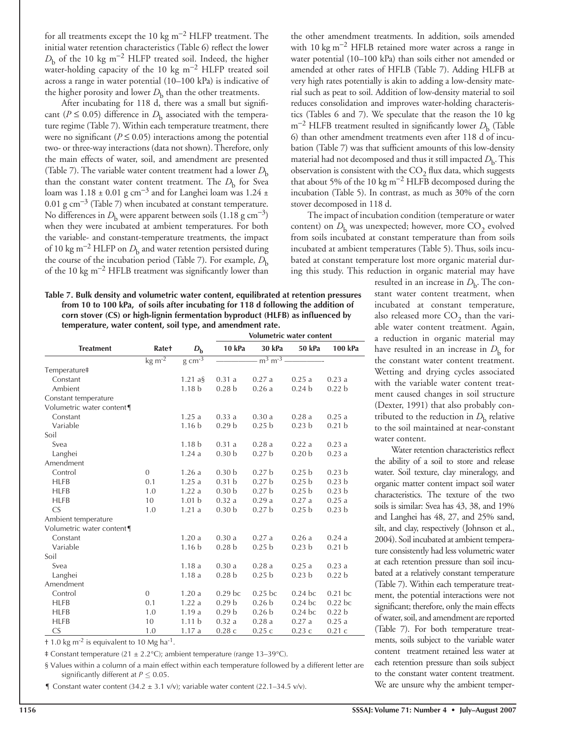for all treatments except the 10 kg m<sup>-2</sup> HLFP treatment. The initial water retention characteristics (Table 6) reflect the lower  $D<sub>b</sub>$  of the 10 kg m<sup>-2</sup> HLFP treated soil. Indeed, the higher water-holding capacity of the 10 kg m<sup>-2</sup> HLFP treated soil across a range in water potential (10–100 kPa) is indicative of the higher porosity and lower  $D<sub>b</sub>$  than the other treatments.

After incubating for 118 d, there was a small but significant ( $P \le 0.05$ ) difference in  $D<sub>b</sub>$  associated with the temperature regime (Table 7). Within each temperature treatment, there were no significant ( $P \le 0.05$ ) interactions among the potential two- or three-way interactions (data not shown). Therefore, only the main effects of water, soil, and amendment are presented (Table 7). The variable water content treatment had a lower  $D_{\rm b}$ than the constant water content treatment. The *D*<sub>b</sub> for Svea loam was  $1.18 \pm 0.01$  g cm<sup>-3</sup> and for Langhei loam was  $1.24 \pm 1.0$ 0.01 g cm<sup>-3</sup> (Table 7) when incubated at constant temperature. No differences in  $D<sub>b</sub>$  were apparent between soils (1.18 g cm<sup>-3</sup>) when they were incubated at ambient temperatures. For both the variable- and constant-temperature treatments, the impact of 10 kg m<sup>-2</sup> HLFP on  $D<sub>b</sub>$  and water retention persisted during the course of the incubation period (Table 7). For example, *D*<sup>b</sup> of the 10 kg m<sup>-2</sup> HFLB treatment was significantly lower than

the other amendment treatments. In addition, soils amended with 10 kg m<sup>-2</sup> HFLB retained more water across a range in water potential (10–100 kPa) than soils either not amended or amended at other rates of HFLB (Table 7). Adding HLFB at very high rates potentially is akin to adding a low-density material such as peat to soil. Addition of low-density material to soil reduces consolidation and improves water-holding characteristics (Tables 6 and 7). We speculate that the reason the 10 kg  $m^{-2}$  HLFB treatment resulted in significantly lower  $D_{\rm b}$  (Table 6) than other amendment treatments even after 118 d of incubation (Table 7) was that sufficient amounts of this low-density material had not decomposed and thus it still impacted  $D_{\rm b}$ . This observation is consistent with the  $CO<sub>2</sub>$  flux data, which suggests that about 5% of the 10 kg m<sup>-2</sup> HLFB decomposed during the incubation (Table 5). In contrast, as much as 30% of the corn stover decomposed in 118 d.

The impact of incubation condition (temperature or water content) on  $D_{\rm b}$  was unexpected; however, more  $CO_2$  evolved from soils incubated at constant temperature than from soils incubated at ambient temperatures (Table 5). Thus, soils incubated at constant temperature lost more organic material during this study. This reduction in organic material may have

**Table 7. Bulk density and volumetric water content, equilibrated at retention pressures from 10 to 100 kPa, of soils after incubating for 118 d following the addition of corn stover (CS) or high-lignin fermentation byproduct (HLFB) as influenced by temperature, water content, soil type, and amendment rate.**

|                           |                               |                     |                    |                   | Volumetric water content |                   |  |
|---------------------------|-------------------------------|---------------------|--------------------|-------------------|--------------------------|-------------------|--|
| <b>Treatment</b>          | <b>Rate+</b>                  | $D_{\rm b}$         | 10 kPa             | 30 kPa            | 50 kPa                   | 100 kPa           |  |
|                           | $\overline{\text{kg m}^{-2}}$ | $g \text{ cm}^{-3}$ |                    | $m^3 m^{-3}$ -    |                          |                   |  |
| Temperature‡              |                               |                     |                    |                   |                          |                   |  |
| Constant                  |                               | 1.21 $a\bar{S}$     | 0.31a              | 0.27a             | 0.25a                    | 0.23a             |  |
| Ambient                   |                               | 1.18 <sub>b</sub>   | 0.28 <sub>b</sub>  | 0.26a             | 0.24 <sub>b</sub>        | 0.22 <sub>b</sub> |  |
| Constant temperature      |                               |                     |                    |                   |                          |                   |  |
| Volumetric water content  |                               |                     |                    |                   |                          |                   |  |
| Constant                  |                               | 1.25a               | 0.33a              | 0.30a             | 0.28a                    | 0.25a             |  |
| Variable                  |                               | 1.16 <sub>b</sub>   | 0.29 <sub>b</sub>  | 0.25 <sub>b</sub> | 0.23 <sub>b</sub>        | 0.21 <sub>b</sub> |  |
| Soil                      |                               |                     |                    |                   |                          |                   |  |
| Svea                      |                               | 1.18 <sub>b</sub>   | 0.31a              | 0.28a             | 0.22a                    | 0.23a             |  |
| Langhei                   |                               | 1.24a               | 0.30 <sub>b</sub>  | 0.27 <sub>b</sub> | 0.20 <sub>b</sub>        | 0.23a             |  |
| Amendment                 |                               |                     |                    |                   |                          |                   |  |
| Control                   | $\theta$                      | 1.26a               | 0.30 <sub>b</sub>  | 0.27 <sub>b</sub> | 0.25 <sub>b</sub>        | 0.23 <sub>b</sub> |  |
| <b>HLFB</b>               | 0.1                           | 1.25a               | 0.31 <sub>b</sub>  | 0.27 <sub>b</sub> | 0.25 <sub>b</sub>        | 0.23 <sub>b</sub> |  |
| <b>HLFB</b>               | 1.0                           | 1.22a               | 0.30 <sub>b</sub>  | 0.27 <sub>b</sub> | 0.25 <sub>b</sub>        | 0.23 <sub>b</sub> |  |
| <b>HLFB</b>               | 10                            | 1.01 <sub>b</sub>   | 0.32a              | 0.29a             | 0.27a                    | 0.25a             |  |
| CS                        | 1.0                           | 1.21a               | 0.30 <sub>b</sub>  | 0.27 <sub>b</sub> | 0.25 <sub>b</sub>        | 0.23 <sub>b</sub> |  |
| Ambient temperature       |                               |                     |                    |                   |                          |                   |  |
| Volumetric water content¶ |                               |                     |                    |                   |                          |                   |  |
| Constant                  |                               | 1.20a               | 0.30a              | 0.27a             | 0.26a                    | 0.24a             |  |
| Variable                  |                               | 1.16 <sub>b</sub>   | 0.28 <sub>b</sub>  | 0.25 <sub>b</sub> | 0.23 <sub>b</sub>        | 0.21 <sub>b</sub> |  |
| Soil                      |                               |                     |                    |                   |                          |                   |  |
| Svea                      |                               | 1.18a               | 0.30a              | 0.28a             | 0.25a                    | 0.23a             |  |
| Langhei                   |                               | 1.18a               | 0.28 <sub>b</sub>  | 0.25 <sub>b</sub> | 0.23 <sub>b</sub>        | 0.22 <sub>b</sub> |  |
| Amendment                 |                               |                     |                    |                   |                          |                   |  |
| Control                   | $\theta$                      | 1.20a               | 0.29 <sub>bc</sub> | $0.25$ bc         | $0.24$ bc                | $0.21$ bc         |  |
| <b>HLFB</b>               | 0.1                           | 1.22a               | 0.29 <sub>b</sub>  | 0.26 <sub>b</sub> | $0.24$ bc                | $0.22$ bc         |  |
| <b>HLFB</b>               | 1.0                           | 1.19a               | 0.29 <sub>b</sub>  | 0.26 <sub>b</sub> | $0.24$ bc                | 0.22 <sub>b</sub> |  |
| <b>HLFB</b>               | 10                            | 1.11 <sub>b</sub>   | 0.32a              | 0.28a             | 0.27a                    | 0.25a             |  |
| $\mathsf{CS}\phantom{0}$  | 1.0                           | 1.17a               | 0.28c              | 0.25c             | 0.23c                    | 0.21c             |  |

 $\pm$  1.0 kg m<sup>-2</sup> is equivalent to 10 Mg ha<sup>-1</sup>.

 $\pm$  Constant temperature (21  $\pm$  2.2°C); ambient temperature (range 13–39°C).

§ Values within a column of a main effect within each temperature followed by a different letter are significantly different at  $P \leq 0.05$ .

**T** Constant water content (34.2  $\pm$  3.1 v/v); variable water content (22.1–34.5 v/v).

resulted in an increase in  $D<sub>b</sub>$ . The constant water content treatment, when incubated at constant temperature, also released more  $CO<sub>2</sub>$  than the variable water content treatment. Again, a reduction in organic material may have resulted in an increase in  $D<sub>b</sub>$  for the constant water content treatment. Wetting and drying cycles associated with the variable water content treatment caused changes in soil structure (Dexter, 1991) that also probably contributed to the reduction in  $D<sub>b</sub>$  relative to the soil maintained at near-constant water content.

Water retention characteristics reflect the ability of a soil to store and release water. Soil texture, clay mineralogy, and organic matter content impact soil water characteristics. The texture of the two soils is similar: Svea has 43, 38, and 19% and Langhei has 48, 27, and 25% sand, silt, and clay, respectively (Johnson et al., 2004). Soil incubated at ambient temperature consistently had less volumetric water at each retention pressure than soil incubated at a relatively constant temperature (Table 7). Within each temperature treatment, the potential interactions were not significant; therefore, only the main effects of water, soil, and amendment are reported (Table 7). For both temperature treatments, soils subject to the variable water content treatment retained less water at each retention pressure than soils subject to the constant water content treatment. We are unsure why the ambient temper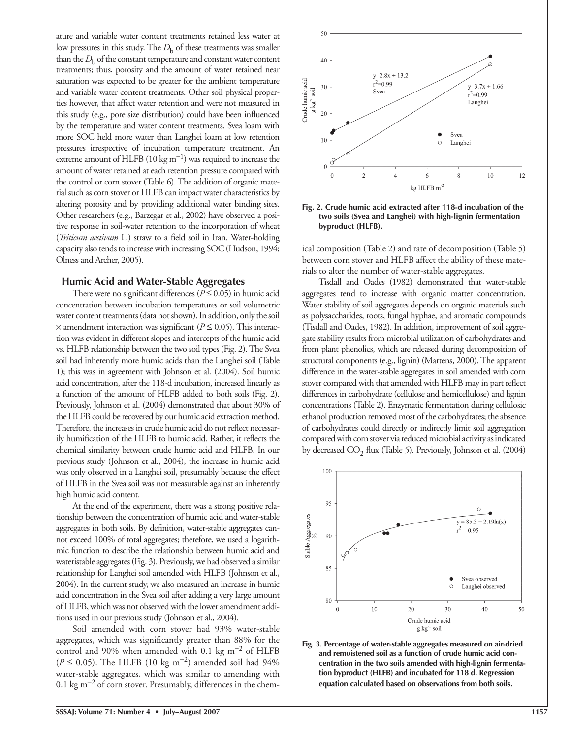ature and variable water content treatments retained less water at low pressures in this study. The  $D<sub>b</sub>$  of these treatments was smaller than the  $D<sub>b</sub>$  of the constant temperature and constant water content treatments; thus, porosity and the amount of water retained near saturation was expected to be greater for the ambient temperature and variable water content treatments. Other soil physical properties however, that affect water retention and were not measured in this study (e.g., pore size distribution) could have been influenced by the temperature and water content treatments. Svea loam with more SOC held more water than Langhei loam at low retention pressures irrespective of incubation temperature treatment. An extreme amount of HLFB (10 kg m<sup>−</sup>1) was required to increase the amount of water retained at each retention pressure compared with the control or corn stover (Table 6). The addition of organic material such as corn stover or HLFB can impact water characteristics by altering porosity and by providing additional water binding sites. Other researchers (e.g., Barzegar et al., 2002) have observed a positive response in soil-water retention to the incorporation of wheat (*Triticum aestivum* L.) straw to a field soil in Iran. Water-holding capacity also tends to increase with increasing SOC (Hudson, 1994; Olness and Archer, 2005).

## **Humic Acid and Water-Stable Aggregates**

There were no significant differences ( $P \le 0.05$ ) in humic acid concentration between incubation temperatures or soil volumetric water content treatments (data not shown). In addition, only the soil  $\times$  amendment interaction was significant ( $P \le 0.05$ ). This interaction was evident in different slopes and intercepts of the humic acid vs. HLFB relationship between the two soil types (Fig. 2). The Svea soil had inherently more humic acids than the Langhei soil (Table 1); this was in agreement with Johnson et al. (2004). Soil humic acid concentration, after the 118-d incubation, increased linearly as a function of the amount of HLFB added to both soils (Fig. 2). Previously, Johnson et al. (2004) demonstrated that about 30% of the HLFB could be recovered by our humic acid extraction method. Therefore, the increases in crude humic acid do not reflect necessarily humification of the HLFB to humic acid. Rather, it reflects the chemical similarity between crude humic acid and HLFB. In our previous study (Johnson et al., 2004), the increase in humic acid was only observed in a Langhei soil, presumably because the effect of HLFB in the Svea soil was not measurable against an inherently high humic acid content.

At the end of the experiment, there was a strong positive relationship between the concentration of humic acid and water-stable aggregates in both soils. By definition, water-stable aggregates cannot exceed 100% of total aggregates; therefore, we used a logarithmic function to describe the relationship between humic acid and wateristable aggregates (Fig. 3). Previously, we had observed a similar relationship for Langhei soil amended with HLFB (Johnson et al., 2004). In the current study, we also measured an increase in humic acid concentration in the Svea soil after adding a very large amount of HLFB, which was not observed with the lower amendment additions used in our previous study (Johnson et al., 2004).

Soil amended with corn stover had 93% water-stable aggregates, which was significantly greater than 88% for the control and 90% when amended with 0.1 kg m<sup>-2</sup> of HLFB  $(P ≤ 0.05)$ . The HLFB (10 kg m<sup>-2</sup>) amended soil had 94% water-stable aggregates, which was similar to amending with 0.1 kg m<sup>−</sup>2 of corn stover. Presumably, differences in the chem-



**Fig. 2. Crude humic acid extracted after 118-d incubation of the two soils (Svea and Langhei) with high-lignin fermentation byproduct (HLFB).**

ical composition (Table 2) and rate of decomposition (Table 5) between corn stover and HLFB affect the ability of these materials to alter the number of water-stable aggregates.

Tisdall and Oades (1982) demonstrated that water-stable aggregates tend to increase with organic matter concentration. Water stability of soil aggregates depends on organic materials such as polysaccharides, roots, fungal hyphae, and aromatic compounds (Tisdall and Oades, 1982). In addition, improvement of soil aggregate stability results from microbial utilization of carbohydrates and from plant phenolics, which are released during decomposition of structural components (e.g., lignin) (Martens, 2000). The apparent difference in the water-stable aggregates in soil amended with corn stover compared with that amended with HLFB may in part reflect differences in carbohydrate (cellulose and hemicellulose) and lignin concentrations (Table 2). Enzymatic fermentation during cellulosic ethanol production removed most of the carbohydrates; the absence of carbohydrates could directly or indirectly limit soil aggregation compared with corn stover via reduced microbial activity as indicated by decreased  $CO_2$  flux (Table 5). Previously, Johnson et al. (2004)



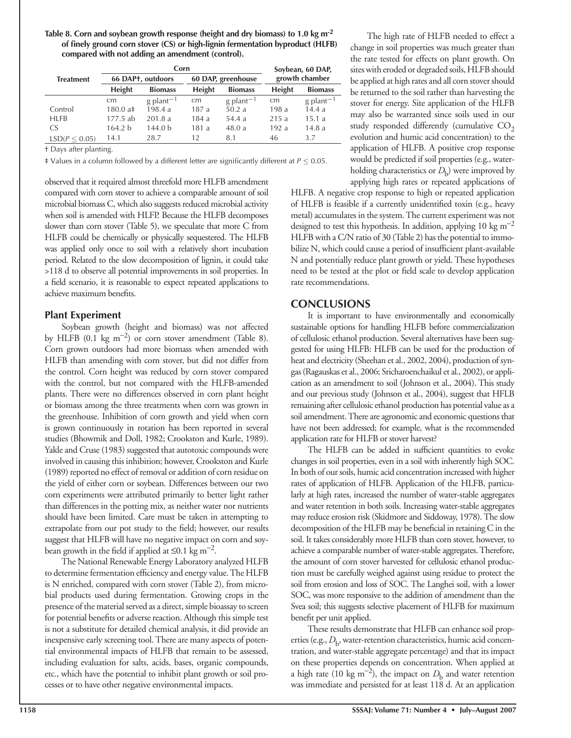**Table 8. Corn and soybean growth response (height and dry biomass) to 1.0 kg m-2** of finely ground corn stover (CS) or high-lignin fermentation byproduct (HLFB) **compared with not adding an amendment (control).**

|                  |                   | Corn                    | Soybean, 60 DAP, |                         |                |                         |
|------------------|-------------------|-------------------------|------------------|-------------------------|----------------|-------------------------|
| <b>Treatment</b> |                   | 66 DAP+, outdoors       |                  | 60 DAP, greenhouse      | growth chamber |                         |
|                  | <b>Height</b>     | <b>Biomass</b>          |                  | <b>Biomass</b>          | <b>Height</b>  | <b>Biomass</b>          |
|                  | cm                | $g$ plant <sup>-1</sup> | cm               | $g$ plant <sup>-1</sup> | cm             | $g$ plant <sup>-1</sup> |
| Control          | $180.0 a\ddagger$ | 198.4 a                 | 187 a            | 50.2 a                  | 198 a          | 14.4a                   |
| <b>HLFB</b>      | $177.5$ ab        | 201.8a                  | 184 a            | 54.4a                   | 215a           | 15.1a                   |
| CS.              | 164.2 b           | 144.0 <sub>b</sub>      | 181 a            | 48.0a                   | 192a           | 14.8a                   |
| LSD(P < 0.05)    | 14.1              | 28.7                    | 12               | 8.1                     | 46             | 3.7                     |

† Days after planting.

‡ Values in a column followed by a different letter are signifi cantly different at *P* ≤ 0.05.

observed that it required almost threefold more HLFB amendment compared with corn stover to achieve a comparable amount of soil microbial biomass C, which also suggests reduced microbial activity when soil is amended with HLFP. Because the HLFB decomposes slower than corn stover (Table 5), we speculate that more C from HLFB could be chemically or physically sequestered. The HLFB was applied only once to soil with a relatively short incubation period. Related to the slow decomposition of lignin, it could take >118 d to observe all potential improvements in soil properties. In a field scenario, it is reasonable to expect repeated applications to achieve maximum benefits.

# **Plant Experiment**

Soybean growth (height and biomass) was not affected by HLFB (0.1 kg m<sup>−</sup>2) or corn stover amendment (Table 8). Corn grown outdoors had more biomass when amended with HLFB than amending with corn stover, but did not differ from the control. Corn height was reduced by corn stover compared with the control, but not compared with the HLFB-amended plants. There were no differences observed in corn plant height or biomass among the three treatments when corn was grown in the greenhouse. Inhibition of corn growth and yield when corn is grown continuously in rotation has been reported in several studies (Bhowmik and Doll, 1982; Crookston and Kurle, 1989). Yakle and Cruse (1983) suggested that autotoxic compounds were involved in causing this inhibition; however, Crookston and Kurle (1989) reported no effect of removal or addition of corn residue on the yield of either corn or soybean. Differences between our two corn experiments were attributed primarily to better light rather than differences in the potting mix, as neither water nor nutrients should have been limited. Care must be taken in attempting to extrapolate from our pot study to the field; however, our results suggest that HLFB will have no negative impact on corn and soybean growth in the field if applied at  $\leq 0.1$  kg m<sup>-2</sup>.

The National Renewable Energy Laboratory analyzed HLFB to determine fermentation efficiency and energy value. The HLFB is N enriched, compared with corn stover (Table 2), from microbial products used during fermentation. Growing crops in the presence of the material served as a direct, simple bioassay to screen for potential benefits or adverse reaction. Although this simple test is not a substitute for detailed chemical analysis, it did provide an inexpensive early screening tool. There are many aspects of potential environmental impacts of HLFB that remain to be assessed, including evaluation for salts, acids, bases, organic compounds, etc., which have the potential to inhibit plant growth or soil processes or to have other negative environmental impacts.

The high rate of HLFB needed to effect a change in soil properties was much greater than the rate tested for effects on plant growth. On sites with eroded or degraded soils, HLFB should be applied at high rates and all corn stover should be returned to the soil rather than harvesting the stover for energy. Site application of the HLFB may also be warranted since soils used in our study responded differently (cumulative  $CO<sub>2</sub>$ evolution and humic acid concentration) to the application of HLFB. A positive crop response would be predicted if soil properties (e.g., waterholding characteristics or  $D<sub>b</sub>$ ) were improved by applying high rates or repeated applications of

HLFB. A negative crop response to high or repeated application of HLFB is feasible if a currently unidentified toxin (e.g., heavy metal) accumulates in the system. The current experiment was not designed to test this hypothesis. In addition, applying 10 kg m<sup>-2</sup> HLFB with a C/N ratio of 30 (Table 2) has the potential to immobilize N, which could cause a period of insufficient plant-available N and potentially reduce plant growth or yield. These hypotheses need to be tested at the plot or field scale to develop application rate recommendations.

# **CONCLUSIONS**

It is important to have environmentally and economically sustainable options for handling HLFB before commercialization of cellulosic ethanol production. Several alternatives have been suggested for using HLFB: HLFB can be used for the production of heat and electricity (Sheehan et al., 2002, 2004), production of syngas (Ragauskas et al., 2006; Sricharoenchaikul et al., 2002), or application as an amendment to soil (Johnson et al., 2004). This study and our previous study (Johnson et al., 2004), suggest that HFLB remaining after cellulosic ethanol production has potential value as a soil amendment. There are agronomic and economic questions that have not been addressed; for example, what is the recommended application rate for HLFB or stover harvest?

The HLFB can be added in sufficient quantities to evoke changes in soil properties, even in a soil with inherently high SOC. In both of our soils, humic acid concentration increased with higher rates of application of HLFB. Application of the HLFB, particularly at high rates, increased the number of water-stable aggregates and water retention in both soils. Increasing water-stable aggregates may reduce erosion risk (Skidmore and Siddoway, 1978). The slow decomposition of the HLFB may be beneficial in retaining  $C$  in the soil. It takes considerably more HLFB than corn stover, however, to achieve a comparable number of water-stable aggregates. Therefore, the amount of corn stover harvested for cellulosic ethanol production must be carefully weighed against using residue to protect the soil from erosion and loss of SOC. The Langhei soil, with a lower SOC, was more responsive to the addition of amendment than the Svea soil; this suggests selective placement of HLFB for maximum benefit per unit applied.

These results demonstrate that HLFB can enhance soil properties (e.g., D<sub>b</sub>, water-retention characteristics, humic acid concentration, and water-stable aggregate percentage) and that its impact on these properties depends on concentration. When applied at a high rate (10 kg m<sup>-2</sup>), the impact on  $D<sub>b</sub>$  and water retention was immediate and persisted for at least 118 d. At an application